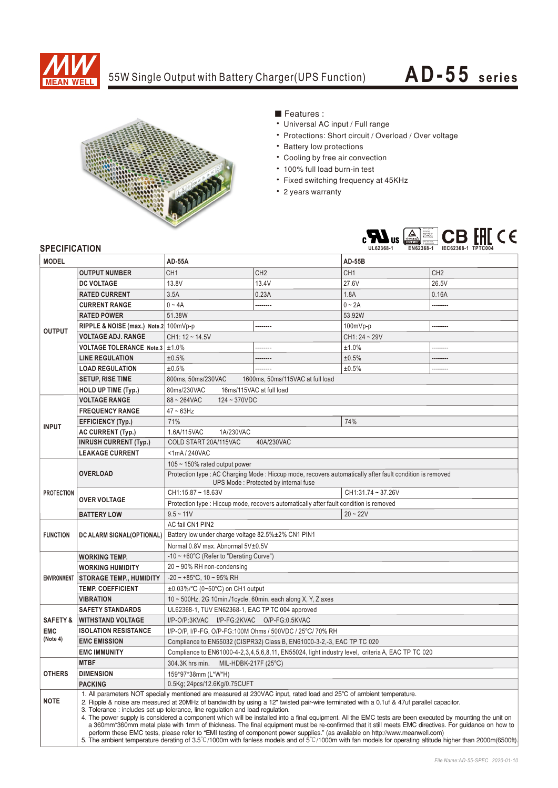

## 55W Single Output with Battery Charger(UPS Function)

## **AD-55 seri es**



## ■ Features :

- Universal AC input / Full range
- Protections: Short circuit / Overload / Over voltage
- Battery low protections
- Cooling by free air convection
- 100% full load burn-in test
- Fixed switching frequency at 45KHz
- 2 years warranty



## **SPECIFICATION**

| <b>MODEL</b>           |                                                                                                                                                                                                                                                                                                                                                                                                                                                                                                                                                                                                                                                                                                                                                                                                                                                                                                                                                                                         | <b>AD-55A</b>                                                                                             |                 | <b>AD-55B</b>   |                 |
|------------------------|-----------------------------------------------------------------------------------------------------------------------------------------------------------------------------------------------------------------------------------------------------------------------------------------------------------------------------------------------------------------------------------------------------------------------------------------------------------------------------------------------------------------------------------------------------------------------------------------------------------------------------------------------------------------------------------------------------------------------------------------------------------------------------------------------------------------------------------------------------------------------------------------------------------------------------------------------------------------------------------------|-----------------------------------------------------------------------------------------------------------|-----------------|-----------------|-----------------|
| <b>OUTPUT</b>          | <b>OUTPUT NUMBER</b>                                                                                                                                                                                                                                                                                                                                                                                                                                                                                                                                                                                                                                                                                                                                                                                                                                                                                                                                                                    | CH <sub>1</sub>                                                                                           | CH <sub>2</sub> | CH <sub>1</sub> | CH <sub>2</sub> |
|                        | <b>DC VOLTAGE</b>                                                                                                                                                                                                                                                                                                                                                                                                                                                                                                                                                                                                                                                                                                                                                                                                                                                                                                                                                                       | 13.8V                                                                                                     | 13.4V           | 27.6V           | 26.5V           |
|                        | <b>RATED CURRENT</b>                                                                                                                                                                                                                                                                                                                                                                                                                                                                                                                                                                                                                                                                                                                                                                                                                                                                                                                                                                    | 3.5A                                                                                                      | 0.23A           | 1.8A            | 0.16A           |
|                        | <b>CURRENT RANGE</b>                                                                                                                                                                                                                                                                                                                                                                                                                                                                                                                                                                                                                                                                                                                                                                                                                                                                                                                                                                    | $0 - 4A$                                                                                                  |                 | $0 - 2A$        |                 |
|                        | <b>RATED POWER</b>                                                                                                                                                                                                                                                                                                                                                                                                                                                                                                                                                                                                                                                                                                                                                                                                                                                                                                                                                                      | 51.38W                                                                                                    |                 | 53.92W          |                 |
|                        | RIPPLE & NOISE (max.) Note.2 100mVp-p                                                                                                                                                                                                                                                                                                                                                                                                                                                                                                                                                                                                                                                                                                                                                                                                                                                                                                                                                   |                                                                                                           |                 | 100mVp-p        |                 |
|                        | <b>VOLTAGE ADJ. RANGE</b>                                                                                                                                                                                                                                                                                                                                                                                                                                                                                                                                                                                                                                                                                                                                                                                                                                                                                                                                                               | $CH1: 12 - 14.5V$                                                                                         |                 | CH1: 24~29V     |                 |
|                        | VOLTAGE TOLERANCE Note.3 ±1.0%                                                                                                                                                                                                                                                                                                                                                                                                                                                                                                                                                                                                                                                                                                                                                                                                                                                                                                                                                          |                                                                                                           |                 | ±1.0%           |                 |
|                        | <b>LINE REGULATION</b>                                                                                                                                                                                                                                                                                                                                                                                                                                                                                                                                                                                                                                                                                                                                                                                                                                                                                                                                                                  | ±0.5%                                                                                                     |                 | ±0.5%           |                 |
|                        | <b>LOAD REGULATION</b>                                                                                                                                                                                                                                                                                                                                                                                                                                                                                                                                                                                                                                                                                                                                                                                                                                                                                                                                                                  | ±0.5%                                                                                                     |                 | ±0.5%           | .               |
|                        | <b>SETUP, RISE TIME</b>                                                                                                                                                                                                                                                                                                                                                                                                                                                                                                                                                                                                                                                                                                                                                                                                                                                                                                                                                                 | 800ms, 50ms/230VAC<br>1600ms. 50ms/115VAC at full load                                                    |                 |                 |                 |
|                        | <b>HOLD UP TIME (Typ.)</b>                                                                                                                                                                                                                                                                                                                                                                                                                                                                                                                                                                                                                                                                                                                                                                                                                                                                                                                                                              | 80ms/230VAC<br>16ms/115VAC at full load                                                                   |                 |                 |                 |
| <b>INPUT</b>           | <b>VOLTAGE RANGE</b>                                                                                                                                                                                                                                                                                                                                                                                                                                                                                                                                                                                                                                                                                                                                                                                                                                                                                                                                                                    | $88 - 264$ VAC<br>$124 - 370VDC$                                                                          |                 |                 |                 |
|                        | <b>FREQUENCY RANGE</b>                                                                                                                                                                                                                                                                                                                                                                                                                                                                                                                                                                                                                                                                                                                                                                                                                                                                                                                                                                  | $47 \sim 63$ Hz                                                                                           |                 |                 |                 |
|                        | <b>EFFICIENCY (Typ.)</b>                                                                                                                                                                                                                                                                                                                                                                                                                                                                                                                                                                                                                                                                                                                                                                                                                                                                                                                                                                | 71%                                                                                                       |                 | 74%             |                 |
|                        | AC CURRENT (Typ.)                                                                                                                                                                                                                                                                                                                                                                                                                                                                                                                                                                                                                                                                                                                                                                                                                                                                                                                                                                       | 1.6A/115VAC<br>1A/230VAC                                                                                  |                 |                 |                 |
|                        | <b>INRUSH CURRENT (Typ.)</b>                                                                                                                                                                                                                                                                                                                                                                                                                                                                                                                                                                                                                                                                                                                                                                                                                                                                                                                                                            | COLD START 20A/115VAC<br>40A/230VAC                                                                       |                 |                 |                 |
|                        | <b>LEAKAGE CURRENT</b>                                                                                                                                                                                                                                                                                                                                                                                                                                                                                                                                                                                                                                                                                                                                                                                                                                                                                                                                                                  | $<$ 1mA $/$ 240VAC                                                                                        |                 |                 |                 |
| <b>PROTECTION</b>      | <b>OVERLOAD</b>                                                                                                                                                                                                                                                                                                                                                                                                                                                                                                                                                                                                                                                                                                                                                                                                                                                                                                                                                                         | 105 $\sim$ 150% rated output power                                                                        |                 |                 |                 |
|                        |                                                                                                                                                                                                                                                                                                                                                                                                                                                                                                                                                                                                                                                                                                                                                                                                                                                                                                                                                                                         | Protection type : AC Charging Mode : Hiccup mode, recovers automatically after fault condition is removed |                 |                 |                 |
|                        |                                                                                                                                                                                                                                                                                                                                                                                                                                                                                                                                                                                                                                                                                                                                                                                                                                                                                                                                                                                         | UPS Mode: Protected by internal fuse                                                                      |                 |                 |                 |
|                        | <b>OVER VOLTAGE</b>                                                                                                                                                                                                                                                                                                                                                                                                                                                                                                                                                                                                                                                                                                                                                                                                                                                                                                                                                                     | CH1:15.87~18.63V<br>CH1:31.74~37.26V                                                                      |                 |                 |                 |
|                        |                                                                                                                                                                                                                                                                                                                                                                                                                                                                                                                                                                                                                                                                                                                                                                                                                                                                                                                                                                                         | Protection type : Hiccup mode, recovers automatically after fault condition is removed                    |                 |                 |                 |
|                        | <b>BATTERY LOW</b>                                                                                                                                                                                                                                                                                                                                                                                                                                                                                                                                                                                                                                                                                                                                                                                                                                                                                                                                                                      | $9.5 - 11V$                                                                                               |                 | $20 - 22V$      |                 |
| <b>FUNCTION</b>        | DC ALARM SIGNAL(OPTIONAL)                                                                                                                                                                                                                                                                                                                                                                                                                                                                                                                                                                                                                                                                                                                                                                                                                                                                                                                                                               | AC fail CN1 PIN2                                                                                          |                 |                 |                 |
|                        |                                                                                                                                                                                                                                                                                                                                                                                                                                                                                                                                                                                                                                                                                                                                                                                                                                                                                                                                                                                         | Battery low under charge voltage 82.5%±2% CN1 PIN1                                                        |                 |                 |                 |
|                        |                                                                                                                                                                                                                                                                                                                                                                                                                                                                                                                                                                                                                                                                                                                                                                                                                                                                                                                                                                                         | Normal 0.8V max. Abnormal 5V±0.5V                                                                         |                 |                 |                 |
| <b>ENVIRONMENT</b>     | <b>WORKING TEMP.</b>                                                                                                                                                                                                                                                                                                                                                                                                                                                                                                                                                                                                                                                                                                                                                                                                                                                                                                                                                                    | $-10 \sim +60^{\circ}$ C (Refer to "Derating Curve")                                                      |                 |                 |                 |
|                        | <b>WORKING HUMIDITY</b>                                                                                                                                                                                                                                                                                                                                                                                                                                                                                                                                                                                                                                                                                                                                                                                                                                                                                                                                                                 | $20 \sim 90\%$ RH non-condensing                                                                          |                 |                 |                 |
|                        | <b>STORAGE TEMP., HUMIDITY</b>                                                                                                                                                                                                                                                                                                                                                                                                                                                                                                                                                                                                                                                                                                                                                                                                                                                                                                                                                          | $-20 \sim +85^{\circ}$ C, 10 ~ 95% RH                                                                     |                 |                 |                 |
|                        | <b>TEMP. COEFFICIENT</b>                                                                                                                                                                                                                                                                                                                                                                                                                                                                                                                                                                                                                                                                                                                                                                                                                                                                                                                                                                | $\pm 0.03\%$ °C (0~50°C) on CH1 output                                                                    |                 |                 |                 |
|                        | <b>VIBRATION</b>                                                                                                                                                                                                                                                                                                                                                                                                                                                                                                                                                                                                                                                                                                                                                                                                                                                                                                                                                                        | 10 ~ 500Hz, 2G 10min./1cycle, 60min. each along X, Y, Z axes                                              |                 |                 |                 |
| <b>EMC</b><br>(Note 4) | <b>SAFETY STANDARDS</b>                                                                                                                                                                                                                                                                                                                                                                                                                                                                                                                                                                                                                                                                                                                                                                                                                                                                                                                                                                 | UL62368-1, TUV EN62368-1, EAC TP TC 004 approved                                                          |                 |                 |                 |
|                        | <b>SAFETY &amp; WITHSTAND VOLTAGE</b>                                                                                                                                                                                                                                                                                                                                                                                                                                                                                                                                                                                                                                                                                                                                                                                                                                                                                                                                                   | I/P-O/P:3KVAC I/P-FG:2KVAC O/P-FG:0.5KVAC                                                                 |                 |                 |                 |
|                        | <b>ISOLATION RESISTANCE</b>                                                                                                                                                                                                                                                                                                                                                                                                                                                                                                                                                                                                                                                                                                                                                                                                                                                                                                                                                             | I/P-O/P, I/P-FG, O/P-FG:100M Ohms / 500VDC / 25°C/ 70% RH                                                 |                 |                 |                 |
|                        | <b>EMC EMISSION</b>                                                                                                                                                                                                                                                                                                                                                                                                                                                                                                                                                                                                                                                                                                                                                                                                                                                                                                                                                                     | Compliance to EN55032 (CISPR32) Class B, EN61000-3-2,-3, EAC TP TC 020                                    |                 |                 |                 |
|                        | <b>EMC IMMUNITY</b>                                                                                                                                                                                                                                                                                                                                                                                                                                                                                                                                                                                                                                                                                                                                                                                                                                                                                                                                                                     | Compliance to EN61000-4-2,3,4,5,6,8,11, EN55024, light industry level, criteria A, EAC TP TC 020          |                 |                 |                 |
| <b>OTHERS</b>          | <b>MTBF</b>                                                                                                                                                                                                                                                                                                                                                                                                                                                                                                                                                                                                                                                                                                                                                                                                                                                                                                                                                                             | 304.3K hrs min. MIL-HDBK-217F (25°C)                                                                      |                 |                 |                 |
|                        | <b>DIMENSION</b>                                                                                                                                                                                                                                                                                                                                                                                                                                                                                                                                                                                                                                                                                                                                                                                                                                                                                                                                                                        | 159*97*38mm (L*W*H)                                                                                       |                 |                 |                 |
|                        | <b>PACKING</b>                                                                                                                                                                                                                                                                                                                                                                                                                                                                                                                                                                                                                                                                                                                                                                                                                                                                                                                                                                          | 0.5Kg; 24pcs/12.6Kg/0.75CUFT                                                                              |                 |                 |                 |
| <b>NOTE</b>            | 1. All parameters NOT specially mentioned are measured at 230VAC input, rated load and 25°C of ambient temperature.<br>2. Ripple & noise are measured at 20MHz of bandwidth by using a 12" twisted pair-wire terminated with a 0.1uf & 47uf parallel capacitor.<br>3. Tolerance: includes set up tolerance, line regulation and load regulation.<br>4. The power supply is considered a component which will be installed into a final equipment. All the EMC tests are been executed by mounting the unit on<br>a 360mm*360mm metal plate with 1mm of thickness. The final equipment must be re-confirmed that it still meets EMC directives. For guidance on how to<br>perform these EMC tests, please refer to "EMI testing of component power supplies." (as available on http://www.meanwell.com)<br>5. The ambient temperature derating of $3.5^{\circ}$ C/1000m with fanless models and of $5^{\circ}$ C/1000m with fan models for operating altitude higher than 2000m(6500ft). |                                                                                                           |                 |                 |                 |